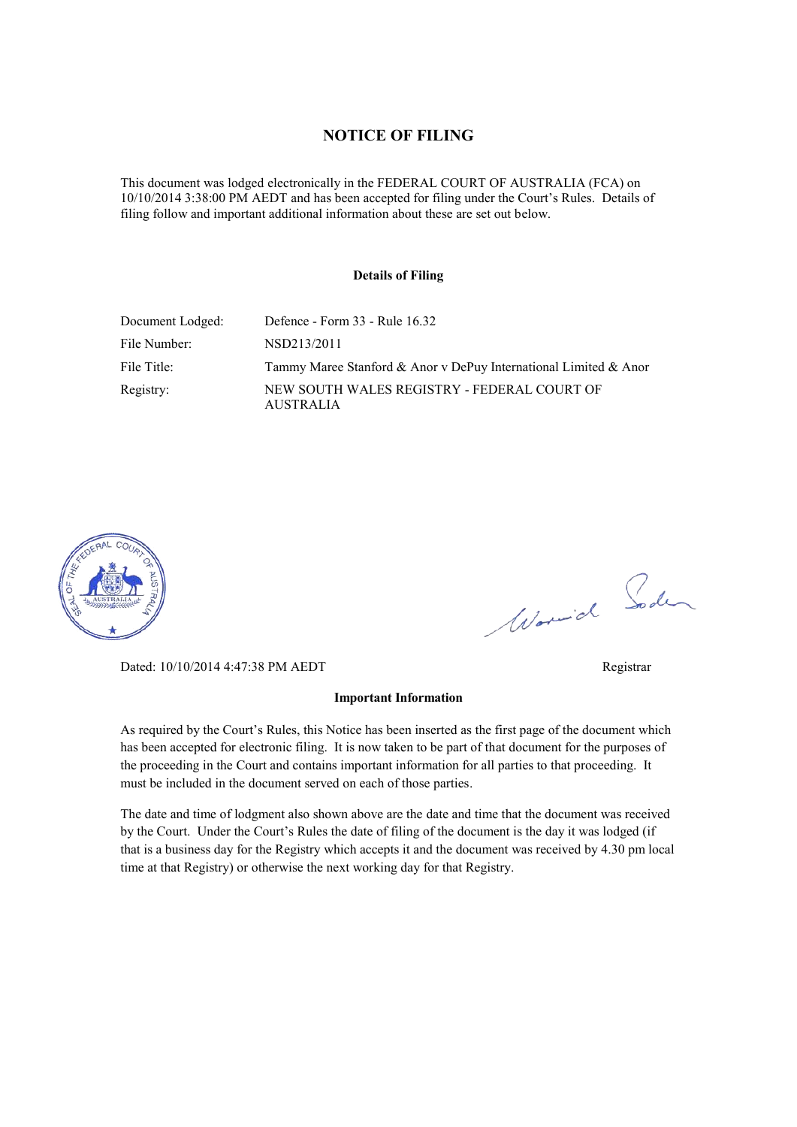#### **NOTICE OF FILING**

This document was lodged electronically in the FEDERAL COURT OF AUSTRALIA (FCA) on 10/10/2014 3:38:00 PM AEDT and has been accepted for filing under the Court's Rules. Details of filing follow and important additional information about these are set out below.

#### **Details of Filing**

| Document Lodged: | Defence - Form 33 - Rule 16.32                                   |
|------------------|------------------------------------------------------------------|
| File Number:     | NSD213/2011                                                      |
| File Title:      | Tammy Maree Stanford & Anor y DePuy International Limited & Anor |
| Registry:        | NEW SOUTH WALES REGISTRY - FEDERAL COURT OF<br><b>AUSTRALIA</b>  |



Worwick Soden

Dated: 10/10/2014 4:47:38 PM AEDT Registrar

#### **Important Information**

As required by the Court's Rules, this Notice has been inserted as the first page of the document which has been accepted for electronic filing. It is now taken to be part of that document for the purposes of the proceeding in the Court and contains important information for all parties to that proceeding. It must be included in the document served on each of those parties.

The date and time of lodgment also shown above are the date and time that the document was received by the Court. Under the Court's Rules the date of filing of the document is the day it was lodged (if that is a business day for the Registry which accepts it and the document was received by 4.30 pm local time at that Registry) or otherwise the next working day for that Registry.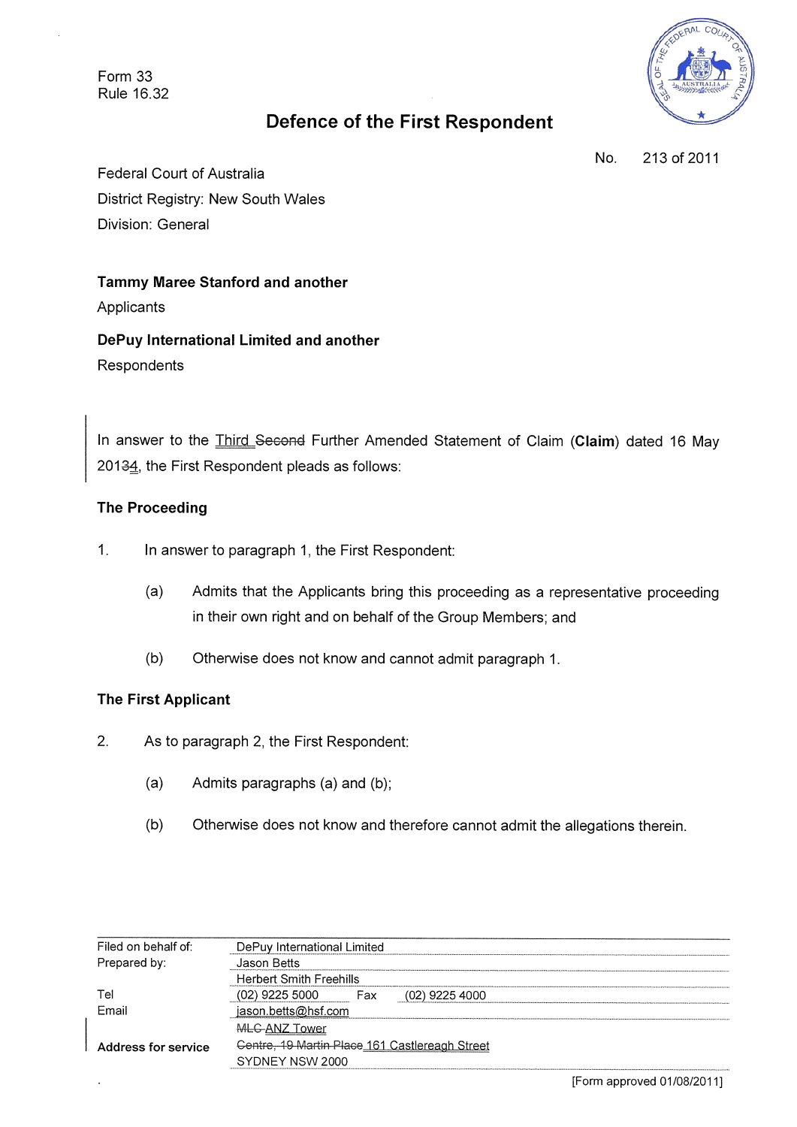Form 33 Rule 16.32



# **Defence of the First Respondent**

No. 213 of 2011

**Federal Court of Australia** District Registry: New South Wales Division: General

**Tammy Maree Stanford and another** Applicants

DePuy International Limited and another Respondents

In answer to the *Third Second* Further Amended Statement of Claim (Claim) dated 16 May 20134, the First Respondent pleads as follows:

## **The Proceeding**

- $1.$ In answer to paragraph 1, the First Respondent:
	- $(a)$ Admits that the Applicants bring this proceeding as a representative proceeding in their own right and on behalf of the Group Members; and
	- $(b)$ Otherwise does not know and cannot admit paragraph 1.

### **The First Applicant**

- $2<sup>1</sup>$ As to paragraph 2, the First Respondent:
	- $(a)$ Admits paragraphs (a) and (b);
	- $(b)$ Otherwise does not know and therefore cannot admit the allegations therein.

| Filed on behalf of: | DePuy International Limited                    |  |
|---------------------|------------------------------------------------|--|
| Prepared by:        | Jason Betts                                    |  |
|                     | <b>Herbert Smith Freehills</b>                 |  |
| Tel                 | (02) 9225 5000<br>$(02)$ 9225 4000<br>Fax      |  |
| Email               | jason.betts@hsf.com                            |  |
|                     | MLG-ANZ Tower                                  |  |
| Address for service | Centre, 19 Martin Place 161 Castlereagh Street |  |
|                     | SYDNEY NSW 2000                                |  |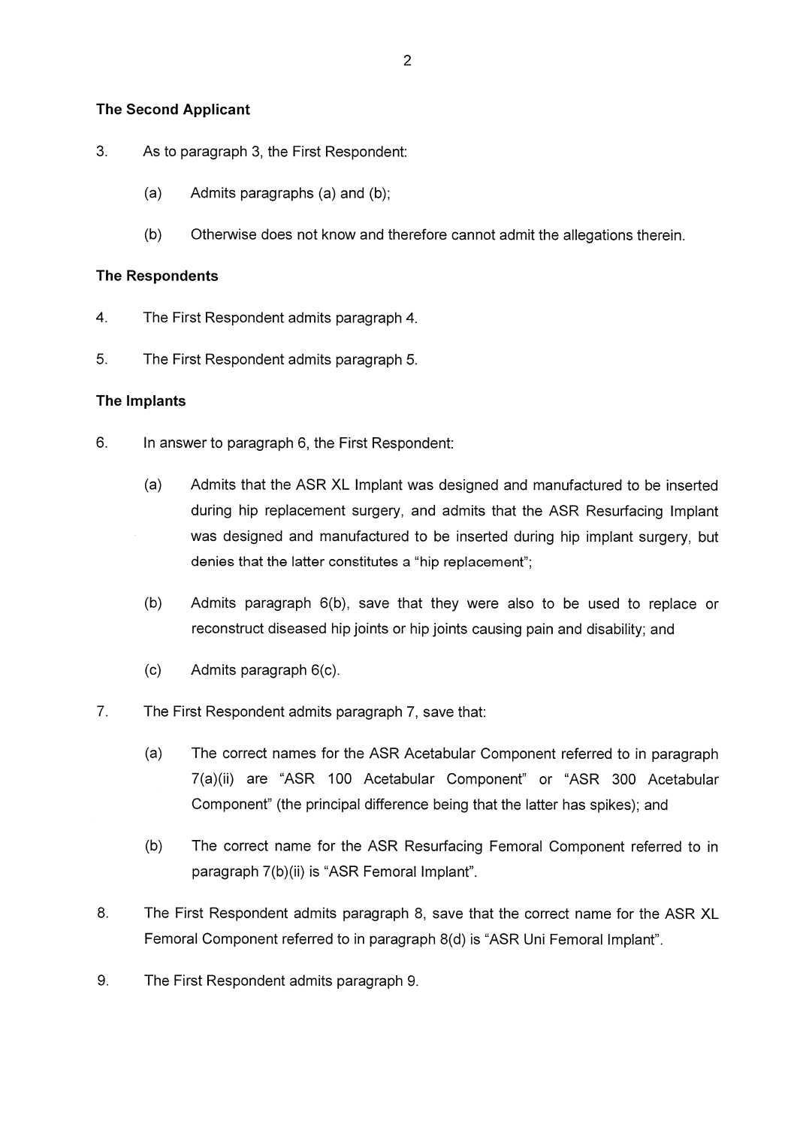### **The Second Applicant**

- $3.$ As to paragraph 3, the First Respondent:
	- $(a)$ Admits paragraphs (a) and (b);
	- $(b)$ Otherwise does not know and therefore cannot admit the allegations therein.

#### **The Respondents**

- $\overline{4}$ . The First Respondent admits paragraph 4.
- 5. The First Respondent admits paragraph 5.

#### The Implants

- $6.$ In answer to paragraph 6, the First Respondent:
	- Admits that the ASR XL Implant was designed and manufactured to be inserted  $(a)$ during hip replacement surgery, and admits that the ASR Resurfacing Implant was designed and manufactured to be inserted during hip implant surgery, but denies that the latter constitutes a "hip replacement";
	- $(b)$ Admits paragraph 6(b), save that they were also to be used to replace or reconstruct diseased hip joints or hip joints causing pain and disability; and
	- $(c)$ Admits paragraph 6(c).
- $7<sub>1</sub>$ The First Respondent admits paragraph 7, save that:
	- $(a)$ The correct names for the ASR Acetabular Component referred to in paragraph 7(a)(ii) are "ASR 100 Acetabular Component" or "ASR 300 Acetabular Component" (the principal difference being that the latter has spikes); and
	- $(b)$ The correct name for the ASR Resurfacing Femoral Component referred to in paragraph 7(b)(ii) is "ASR Femoral Implant".
- 8. The First Respondent admits paragraph 8, save that the correct name for the ASR XL Femoral Component referred to in paragraph 8(d) is "ASR Uni Femoral Implant".
- 9. The First Respondent admits paragraph 9.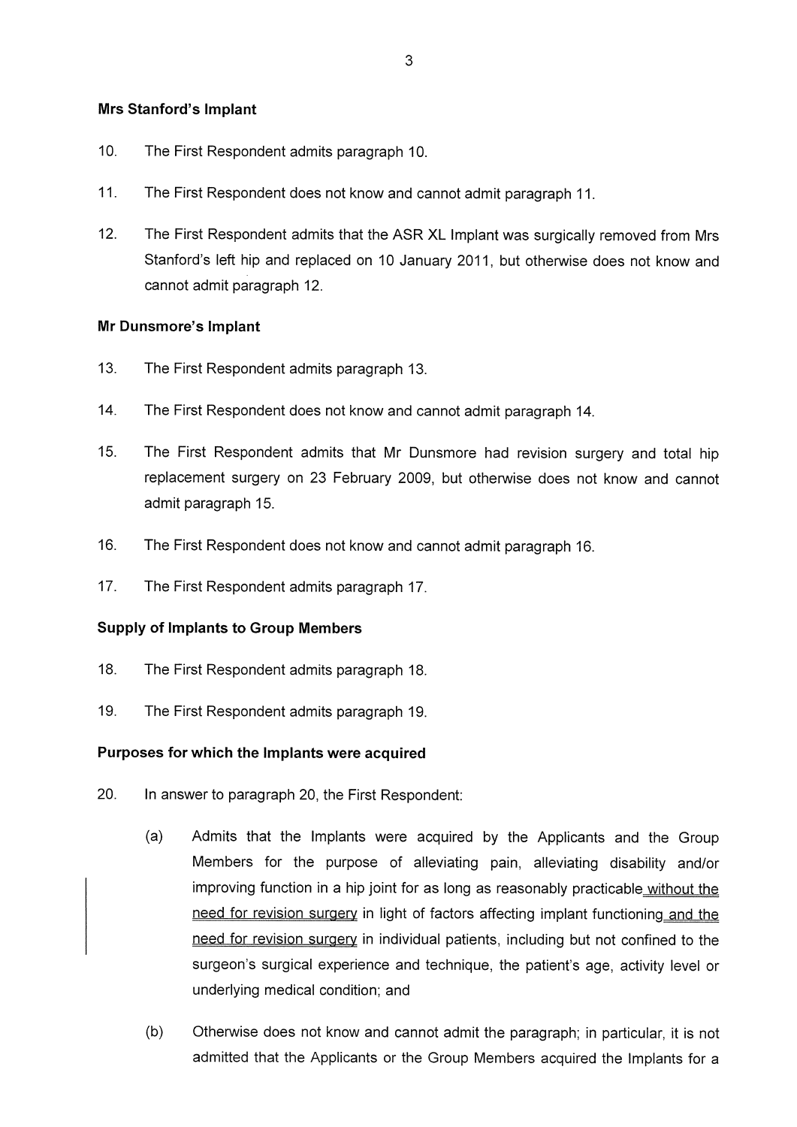### **Mrs Stanford's Implant**

- $10<sub>1</sub>$ The First Respondent admits paragraph 10.
- $11.$ The First Respondent does not know and cannot admit paragraph 11.
- $12.$ The First Respondent admits that the ASR XL Implant was surgically removed from Mrs Stanford's left hip and replaced on 10 January 2011, but otherwise does not know and cannot admit paragraph 12.

#### Mr Dunsmore's Implant

- $13.$ The First Respondent admits paragraph 13.
- $14.$ The First Respondent does not know and cannot admit paragraph 14.
- $15<sub>1</sub>$ The First Respondent admits that Mr Dunsmore had revision surgery and total hip replacement surgery on 23 February 2009, but otherwise does not know and cannot admit paragraph 15.
- 16. The First Respondent does not know and cannot admit paragraph 16.
- $17.$ The First Respondent admits paragraph 17.

#### **Supply of Implants to Group Members**

- 18 The First Respondent admits paragraph 18.
- 19. The First Respondent admits paragraph 19.

#### Purposes for which the Implants were acquired

- 20. In answer to paragraph 20, the First Respondent:
	- $(a)$ Admits that the Implants were acquired by the Applicants and the Group Members for the purpose of alleviating pain, alleviating disability and/or improving function in a hip joint for as long as reasonably practicable without the need for revision surgery in light of factors affecting implant functioning and the need for revision surgery in individual patients, including but not confined to the surgeon's surgical experience and technique, the patient's age, activity level or underlying medical condition; and
	- $(b)$ Otherwise does not know and cannot admit the paragraph; in particular, it is not admitted that the Applicants or the Group Members acquired the Implants for a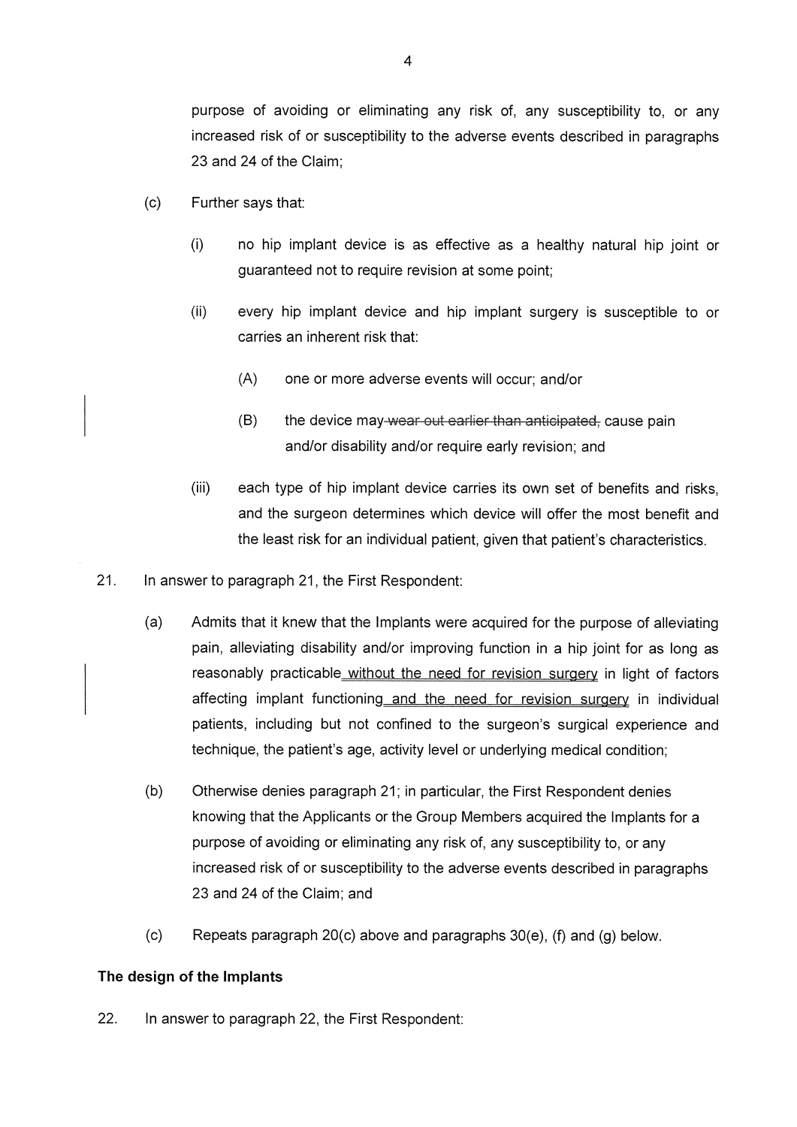purpose of avoiding or eliminating any risk of, any susceptibility to, or any increased risk of or susceptibility to the adverse events described in paragraphs 23 and 24 of the Claim:

- $(c)$ Further says that:
	- $(i)$ no hip implant device is as effective as a healthy natural hip joint or guaranteed not to require revision at some point;
	- $(ii)$ every hip implant device and hip implant surgery is susceptible to or carries an inherent risk that:
		- $(A)$ one or more adverse events will occur; and/or
		- $(B)$ the device may-wear-out-earlier than anticipated, cause pain and/or disability and/or require early revision; and
	- $(iii)$ each type of hip implant device carries its own set of benefits and risks, and the surgeon determines which device will offer the most benefit and the least risk for an individual patient, given that patient's characteristics.
- $21.$ In answer to paragraph 21, the First Respondent:
	- $(a)$ Admits that it knew that the Implants were acquired for the purpose of alleviating pain, alleviating disability and/or improving function in a hip joint for as long as reasonably practicable without the need for revision surgery in light of factors affecting implant functioning and the need for revision surgery in individual patients, including but not confined to the surgeon's surgical experience and technique, the patient's age, activity level or underlying medical condition;
	- $(b)$ Otherwise denies paragraph 21; in particular, the First Respondent denies knowing that the Applicants or the Group Members acquired the Implants for a purpose of avoiding or eliminating any risk of, any susceptibility to, or any increased risk of or susceptibility to the adverse events described in paragraphs 23 and 24 of the Claim; and
	- $(c)$ Repeats paragraph 20(c) above and paragraphs 30(e), (f) and (g) below.

#### The design of the Implants

22. In answer to paragraph 22, the First Respondent: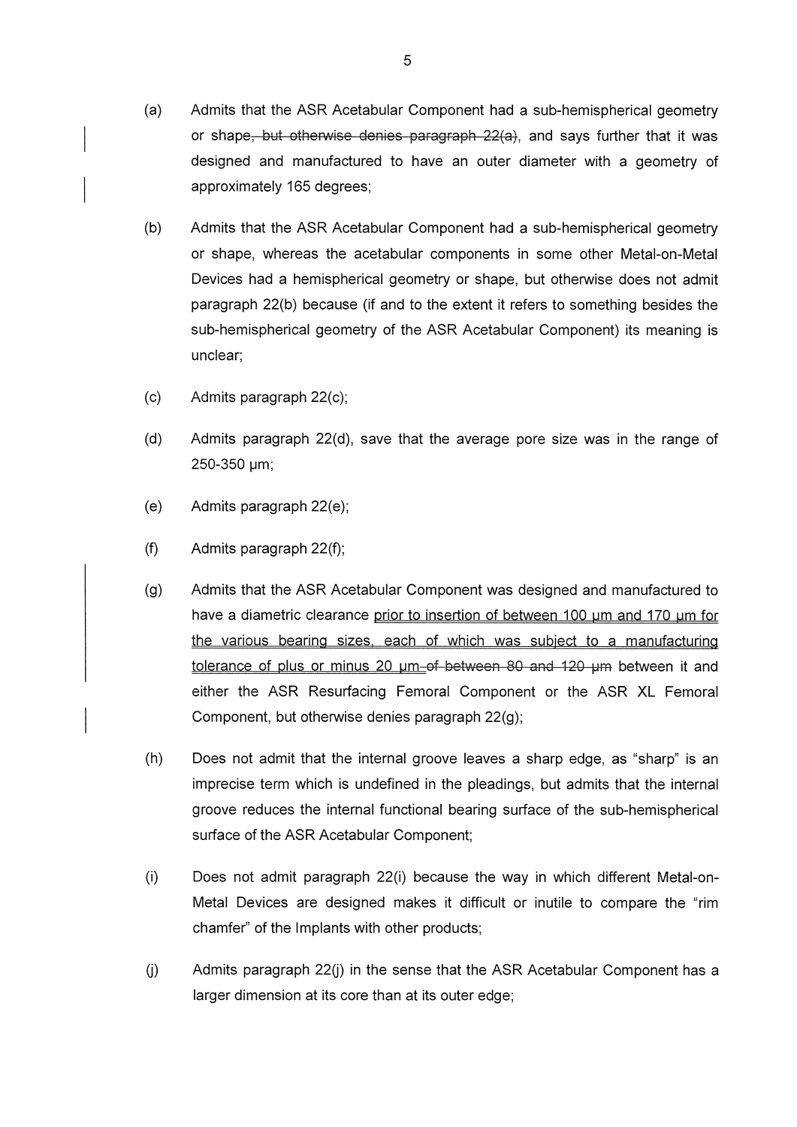- $(a)$ Admits that the ASR Acetabular Component had a sub-hemispherical geometry or shape, but otherwise denies paragraph 22(a), and says further that it was designed and manufactured to have an outer diameter with a geometry of approximately 165 degrees;
- $(b)$ Admits that the ASR Acetabular Component had a sub-hemispherical geometry or shape, whereas the acetabular components in some other Metal-on-Metal Devices had a hemispherical geometry or shape, but otherwise does not admit paragraph 22(b) because (if and to the extent it refers to something besides the sub-hemispherical geometry of the ASR Acetabular Component) its meaning is unclear;
- $(c)$ Admits paragraph 22(c);
- $(d)$ Admits paragraph  $22(d)$ , save that the average pore size was in the range of 250-350 µm;
- $(e)$ Admits paragraph 22(e);
- $(f)$ Admits paragraph 22(f);
- $(g)$ Admits that the ASR Acetabular Component was designed and manufactured to have a diametric clearance prior to insertion of between 100 um and 170 um for the various bearing sizes, each of which was subject to a manufacturing tolerance of plus or minus 20 um-of-between 80 and 120 um between it and either the ASR Resurfacing Femoral Component or the ASR XL Femoral Component, but otherwise denies paragraph 22(g);
- $(h)$ Does not admit that the internal groove leaves a sharp edge, as "sharp" is an imprecise term which is undefined in the pleadings, but admits that the internal groove reduces the internal functional bearing surface of the sub-hemispherical surface of the ASR Acetabular Component;
- $(i)$ Does not admit paragraph 22(i) because the way in which different Metal-on-Metal Devices are designed makes it difficult or inutile to compare the "rim chamfer" of the Implants with other products;
- $(i)$ Admits paragraph 22(j) in the sense that the ASR Acetabular Component has a larger dimension at its core than at its outer edge;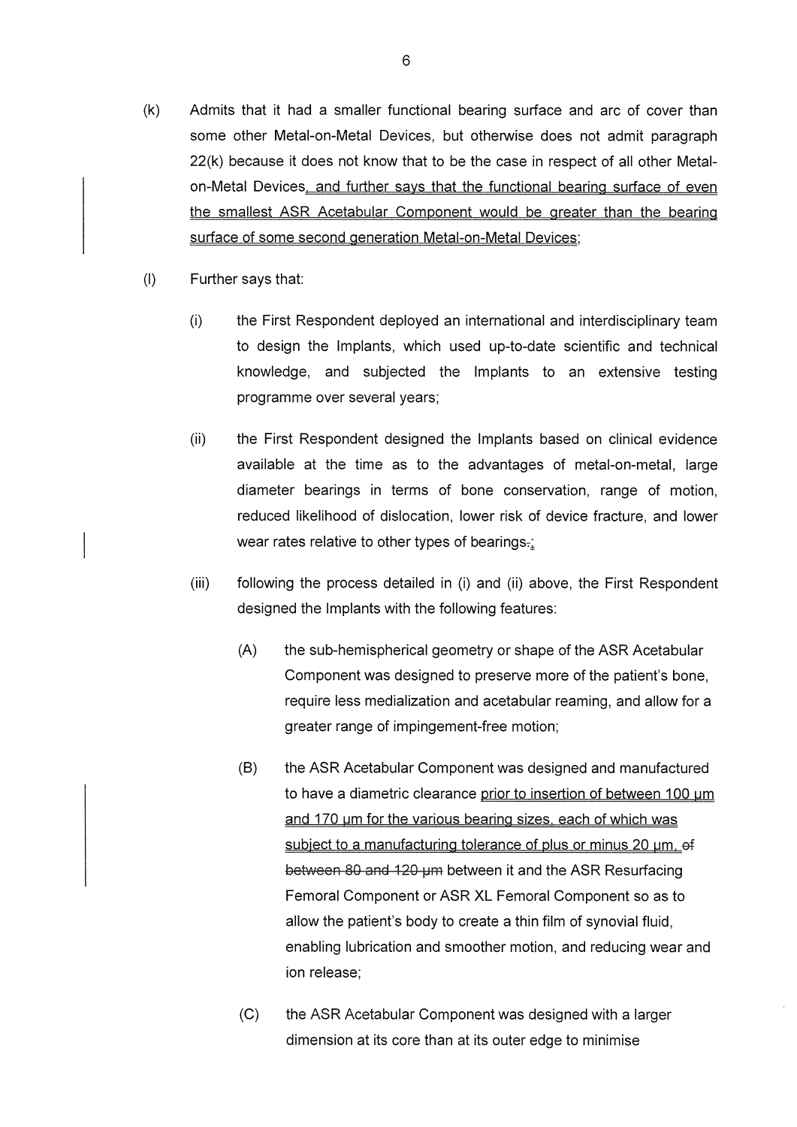- $(k)$ Admits that it had a smaller functional bearing surface and arc of cover than some other Metal-on-Metal Devices, but otherwise does not admit paragraph 22(k) because it does not know that to be the case in respect of all other Metalon-Metal Devices, and further says that the functional bearing surface of even the smallest ASR Acetabular Component would be greater than the bearing surface of some second generation Metal-on-Metal Devices;
- $(1)$ Further says that:
	- $(i)$ the First Respondent deployed an international and interdisciplinary team to design the Implants, which used up-to-date scientific and technical knowledge, and subjected the Implants to an extensive testing programme over several years;
	- $(ii)$ the First Respondent designed the Implants based on clinical evidence available at the time as to the advantages of metal-on-metal, large diameter bearings in terms of bone conservation, range of motion, reduced likelihood of dislocation, lower risk of device fracture, and lower wear rates relative to other types of bearings.
	- $(iii)$ following the process detailed in (i) and (ii) above, the First Respondent designed the Implants with the following features:
		- $(A)$ the sub-hemispherical geometry or shape of the ASR Acetabular Component was designed to preserve more of the patient's bone. require less medialization and acetabular reaming, and allow for a greater range of impingement-free motion;
		- $(B)$ the ASR Acetabular Component was designed and manufactured to have a diametric clearance prior to insertion of between 100 um and 170 um for the various bearing sizes, each of which was subject to a manufacturing tolerance of plus or minus 20 um, of between 80 and 120 um between it and the ASR Resurfacing Femoral Component or ASR XL Femoral Component so as to allow the patient's body to create a thin film of synovial fluid, enabling lubrication and smoother motion, and reducing wear and ion release:
		- $(C)$ the ASR Acetabular Component was designed with a larger dimension at its core than at its outer edge to minimise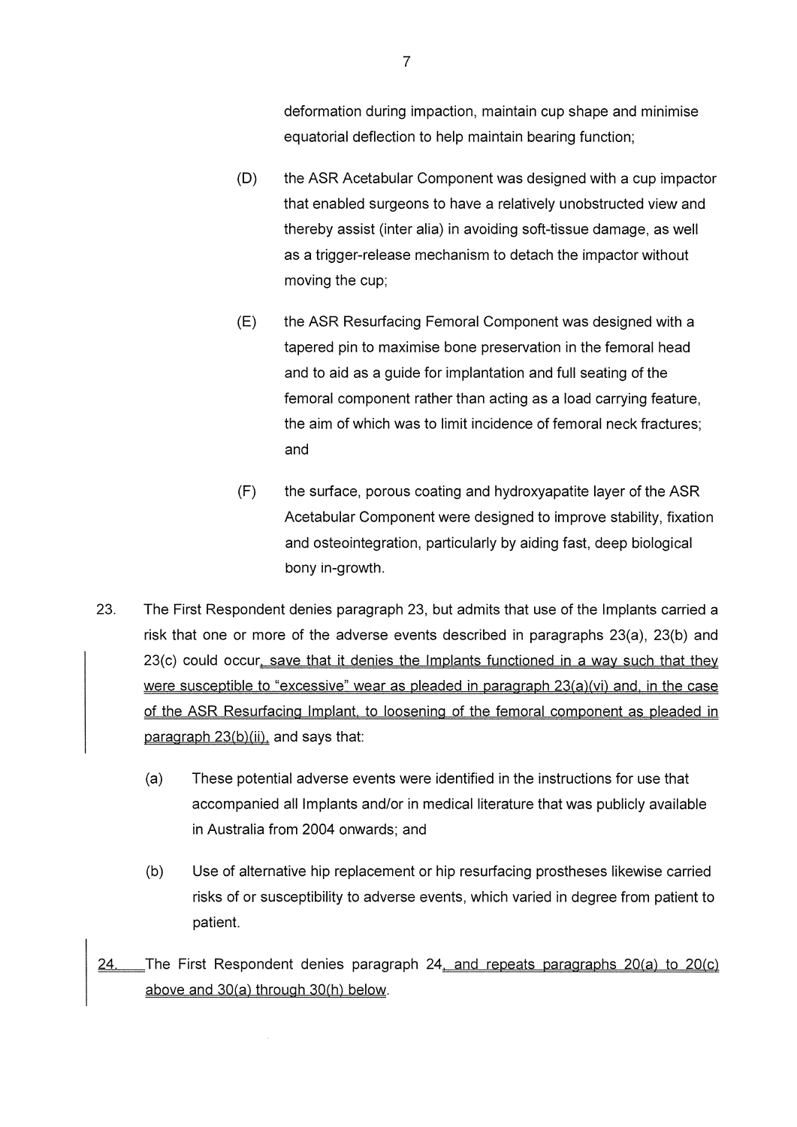deformation during impaction, maintain cup shape and minimise equatorial deflection to help maintain bearing function;

- $(D)$ the ASR Acetabular Component was designed with a cup impactor that enabled surgeons to have a relatively unobstructed view and thereby assist (inter alia) in avoiding soft-tissue damage, as well as a trigger-release mechanism to detach the impactor without moving the cup;
- $(E)$ the ASR Resurfacing Femoral Component was designed with a tapered pin to maximise bone preservation in the femoral head and to aid as a guide for implantation and full seating of the femoral component rather than acting as a load carrying feature. the aim of which was to limit incidence of femoral neck fractures; and
- $(F)$ the surface, porous coating and hydroxyapatite layer of the ASR Acetabular Component were designed to improve stability, fixation and osteointegration, particularly by aiding fast, deep biological bony in-growth.
- 23. The First Respondent denies paragraph 23, but admits that use of the Implants carried a risk that one or more of the adverse events described in paragraphs 23(a), 23(b) and 23(c) could occur, save that it denies the Implants functioned in a way such that they were susceptible to "excessive" wear as pleaded in paragraph 23(a)(vi) and, in the case of the ASR Resurfacing Implant, to loosening of the femoral component as pleaded in paragraph 23(b)(ii), and says that:
	- $(a)$ These potential adverse events were identified in the instructions for use that accompanied all Implants and/or in medical literature that was publicly available in Australia from 2004 onwards: and
	- $(b)$ Use of alternative hip replacement or hip resurfacing prostheses likewise carried risks of or susceptibility to adverse events, which varied in degree from patient to patient.
- 24. The First Respondent denies paragraph 24, and repeats paragraphs 20(a) to 20(c) above and 30(a) through 30(h) below.

 $\overline{7}$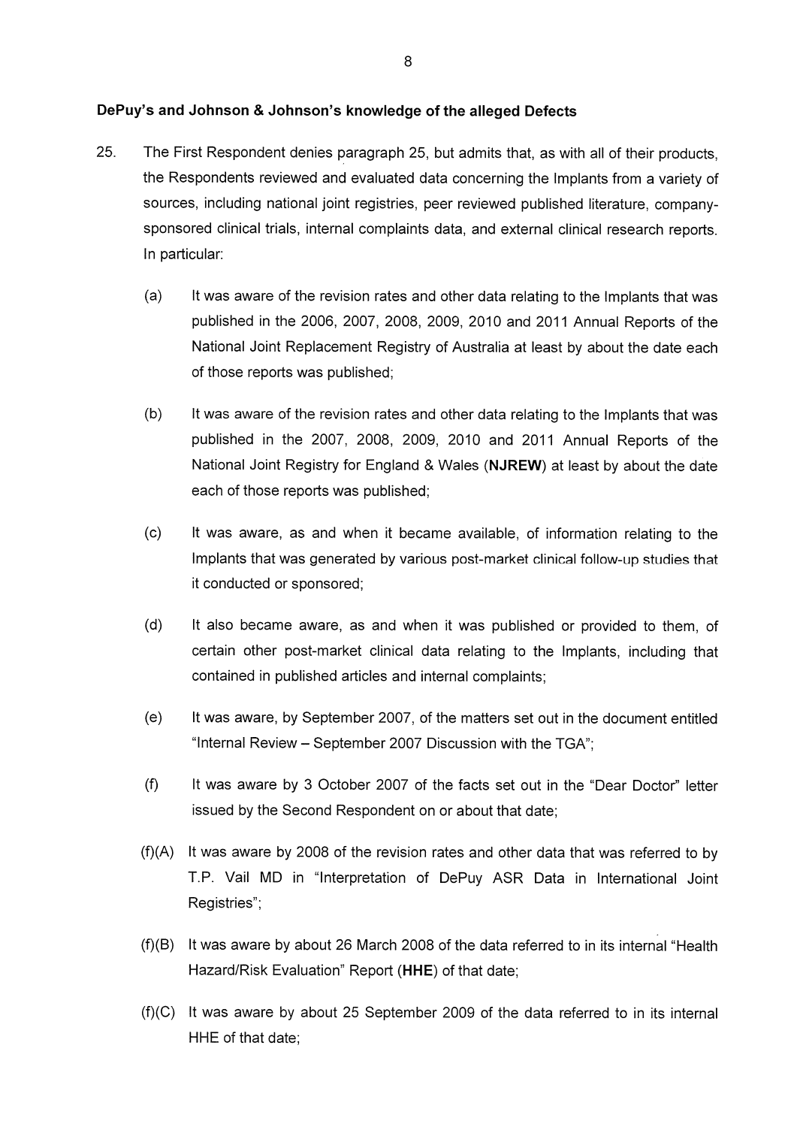#### DePuy's and Johnson & Johnson's knowledge of the alleged Defects

- 25. The First Respondent denies paragraph 25, but admits that, as with all of their products. the Respondents reviewed and evaluated data concerning the Implants from a variety of sources, including national joint registries, peer reviewed published literature, companysponsored clinical trials, internal complaints data, and external clinical research reports. In particular:
	- $(a)$ It was aware of the revision rates and other data relating to the Implants that was published in the 2006, 2007, 2008, 2009, 2010 and 2011 Annual Reports of the National Joint Replacement Registry of Australia at least by about the date each of those reports was published:
	- It was aware of the revision rates and other data relating to the Implants that was  $(b)$ published in the 2007, 2008, 2009, 2010 and 2011 Annual Reports of the National Joint Registry for England & Wales (NJREW) at least by about the date each of those reports was published;
	- $(c)$ It was aware, as and when it became available, of information relating to the Implants that was generated by various post-market clinical follow-up studies that it conducted or sponsored;
	- $(d)$ It also became aware, as and when it was published or provided to them, of certain other post-market clinical data relating to the Implants, including that contained in published articles and internal complaints;
	- $(e)$ It was aware, by September 2007, of the matters set out in the document entitled "Internal Review - September 2007 Discussion with the TGA":
	- $(f)$ It was aware by 3 October 2007 of the facts set out in the "Dear Doctor" letter issued by the Second Respondent on or about that date;
	- (f)(A) It was aware by 2008 of the revision rates and other data that was referred to by T.P. Vail MD in "Interpretation of DePuy ASR Data in International Joint Registries":
	- (f)(B) It was aware by about 26 March 2008 of the data referred to in its internal "Health Hazard/Risk Evaluation" Report (HHE) of that date;
	- (f)(C) It was aware by about 25 September 2009 of the data referred to in its internal HHE of that date: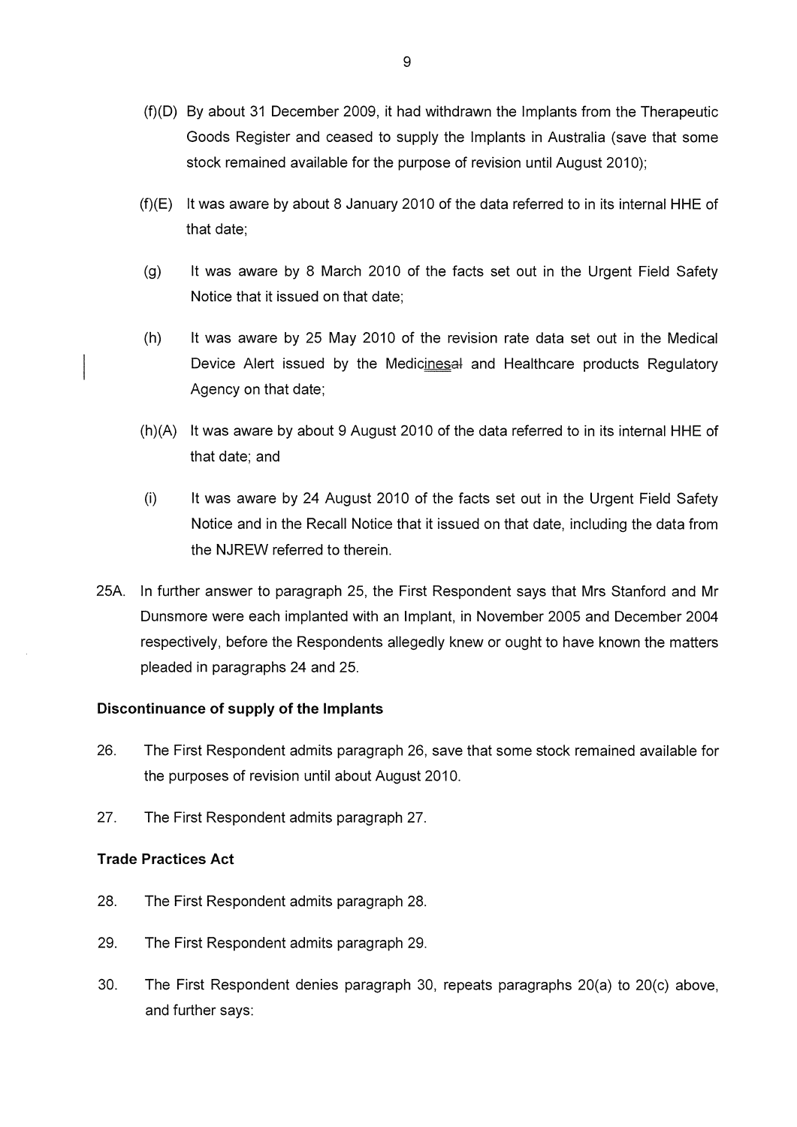- (f)(D) By about 31 December 2009, it had withdrawn the Implants from the Therapeutic Goods Register and ceased to supply the Implants in Australia (save that some stock remained available for the purpose of revision until August 2010);
- $(f)(E)$  It was aware by about 8 January 2010 of the data referred to in its internal HHE of that date:
- $(g)$ It was aware by 8 March 2010 of the facts set out in the Urgent Field Safety Notice that it issued on that date:
- $(h)$ It was aware by 25 May 2010 of the revision rate data set out in the Medical Device Alert issued by the Medicinesal and Healthcare products Regulatory Agency on that date;
- (h)(A) It was aware by about 9 August 2010 of the data referred to in its internal HHE of that date; and
- $(i)$ It was aware by 24 August 2010 of the facts set out in the Urgent Field Safety Notice and in the Recall Notice that it issued on that date, including the data from the NJREW referred to therein.
- 25A. In further answer to paragraph 25, the First Respondent says that Mrs Stanford and Mr Dunsmore were each implanted with an Implant, in November 2005 and December 2004 respectively, before the Respondents allegedly knew or ought to have known the matters pleaded in paragraphs 24 and 25.

#### Discontinuance of supply of the Implants

- 26. The First Respondent admits paragraph 26, save that some stock remained available for the purposes of revision until about August 2010.
- 27. The First Respondent admits paragraph 27.

#### **Trade Practices Act**

- 28. The First Respondent admits paragraph 28.
- 29. The First Respondent admits paragraph 29.
- 30. The First Respondent denies paragraph 30, repeats paragraphs 20(a) to 20(c) above, and further says: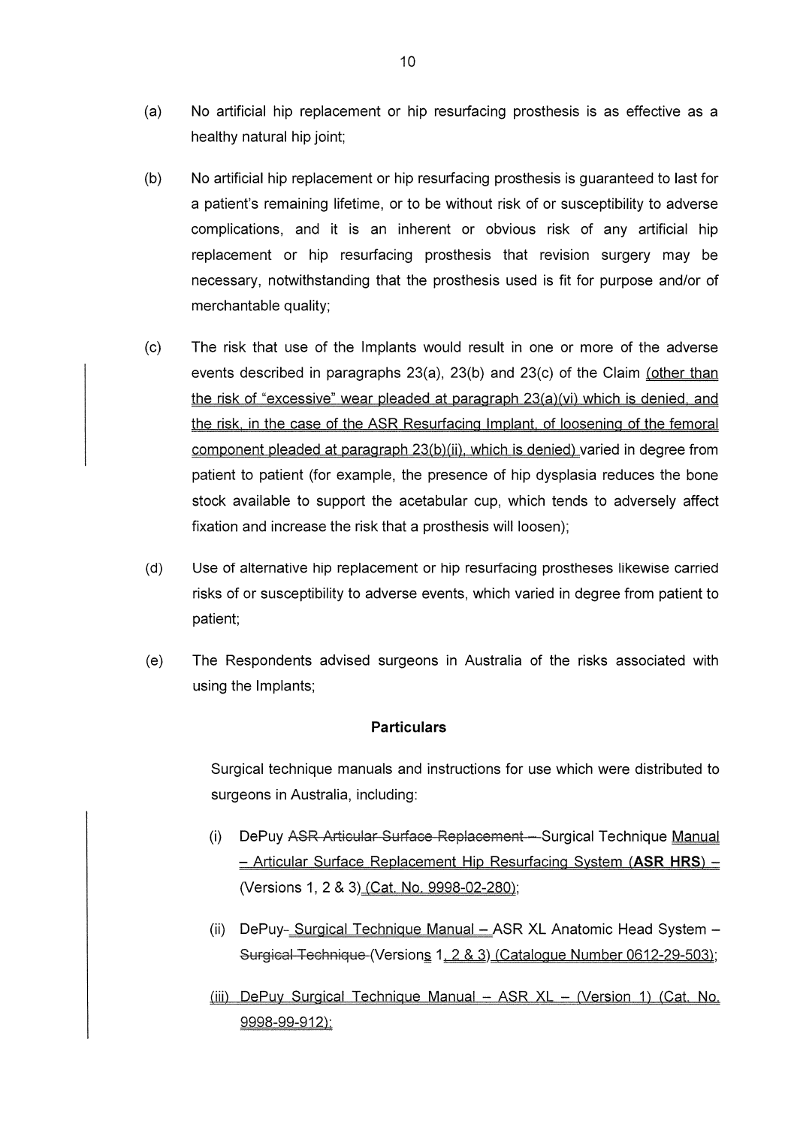- $(a)$ No artificial hip replacement or hip resurfacing prosthesis is as effective as a healthy natural hip joint;
- $(b)$ No artificial hip replacement or hip resurfacing prosthesis is guaranteed to last for a patient's remaining lifetime, or to be without risk of or susceptibility to adverse complications, and it is an inherent or obvious risk of any artificial hip replacement or hip resurfacing prosthesis that revision surgery may be necessary, notwithstanding that the prosthesis used is fit for purpose and/or of merchantable quality;
- $(c)$ The risk that use of the Implants would result in one or more of the adverse events described in paragraphs 23(a), 23(b) and 23(c) of the Claim (other than the risk of "excessive" wear pleaded at paragraph 23(a)(vi) which is denied, and the risk, in the case of the ASR Resurfacing Implant, of loosening of the femoral component pleaded at paragraph 23(b)(ii), which is denied) varied in degree from patient to patient (for example, the presence of hip dysplasia reduces the bone stock available to support the acetabular cup, which tends to adversely affect fixation and increase the risk that a prosthesis will loosen);
- $(d)$ Use of alternative hip replacement or hip resurfacing prostheses likewise carried risks of or susceptibility to adverse events, which varied in degree from patient to patient:
- $(e)$ The Respondents advised surgeons in Australia of the risks associated with using the Implants;

#### **Particulars**

Surgical technique manuals and instructions for use which were distributed to surgeons in Australia, including:

- $(i)$ DePuy ASR Articular Surface Replacement - Surgical Technique Manual - Articular Surface Replacement Hip Resurfacing System (ASR HRS) -(Versions 1, 2 & 3) (Cat. No. 9998-02-280);
- (ii) DePuy- Surgical Technique Manual ASR XL Anatomic Head System -Surgical Technique (Versions 1, 2 & 3) (Catalogue Number 0612-29-503);
- (iii) DePuy Surgical Technique Manual ASR XL (Version 1) (Cat. No. 9998-99-912):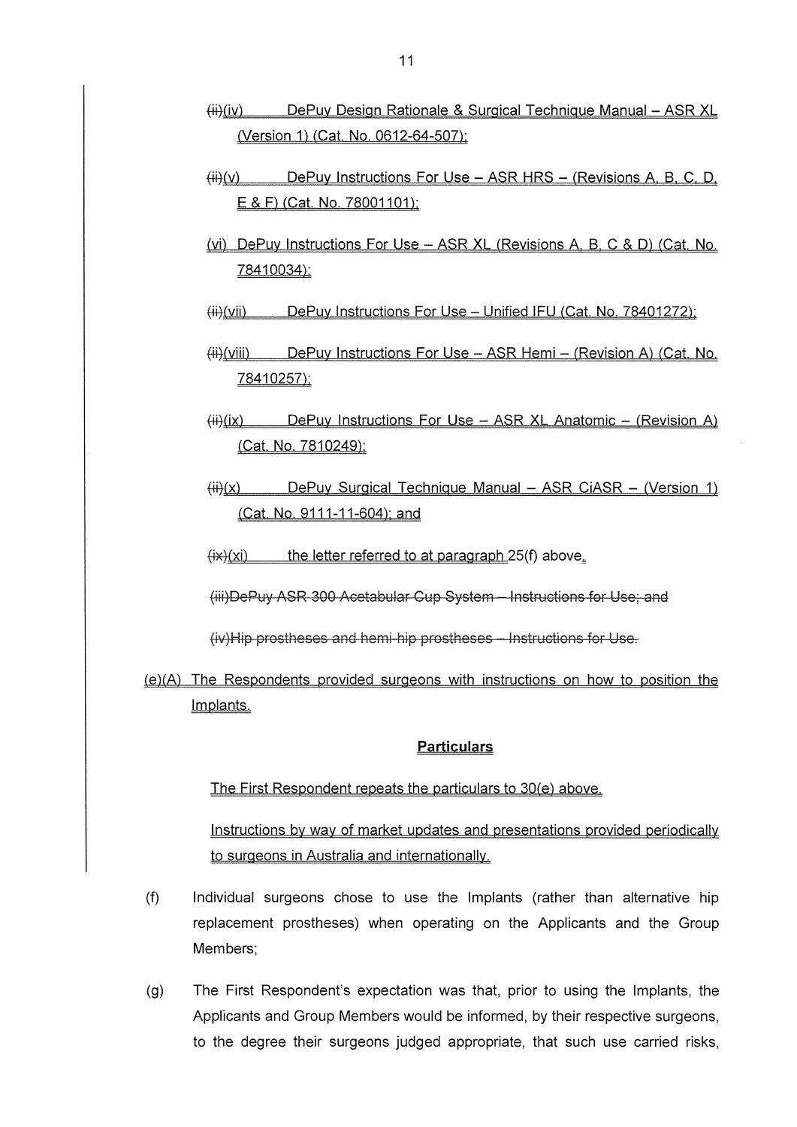- $\overline{(\overline{H})}$ (iv) DePuy Design Rationale & Surgical Technique Manual - ASR XL (Version 1) (Cat. No. 0612-64-507);
- DePuy Instructions For Use ASR HRS (Revisions A, B, C, D,  $\overline{(+)}(v)$ E & F) (Cat. No. 78001101);
- (vi) DePuy Instructions For Use ASR XL (Revisions A, B, C & D) (Cat, No. 78410034);
- DePuy Instructions For Use Unified IFU (Cat. No. 78401272):  $(H)$ (vii)
- (iii) DePuy Instructions For Use ASR Hemi (Revision A) (Cat. No. 78410257);
- DePuy Instructions For Use ASR XL Anatomic (Revision A)  $\langle$ iii) $(ix)$ (Cat. No. 7810249);
- $(ii)(x)$ DePuy Surgical Technique Manual - ASR CIASR - (Version 1) (Cat. No. 9111-11-604); and
- the letter referred to at paragraph 25(f) above.  $\overline{f(x)}(x)$
- (iii) DePuy ASR 300 Acetabular Gup System Instructions for Use; and

(iv)Hip prostheses and hemi-hip prostheses - Instructions for Use.

(e)(A) The Respondents provided surgeons with instructions on how to position the Implants.

#### **Particulars**

The First Respondent repeats the particulars to 30(e) above.

Instructions by way of market updates and presentations provided periodically to surgeons in Australia and internationally.

- $(f)$ Individual surgeons chose to use the Implants (rather than alternative hip replacement prostheses) when operating on the Applicants and the Group Members:
- The First Respondent's expectation was that, prior to using the Implants, the  $(a)$ Applicants and Group Members would be informed, by their respective surgeons, to the degree their surgeons judged appropriate, that such use carried risks,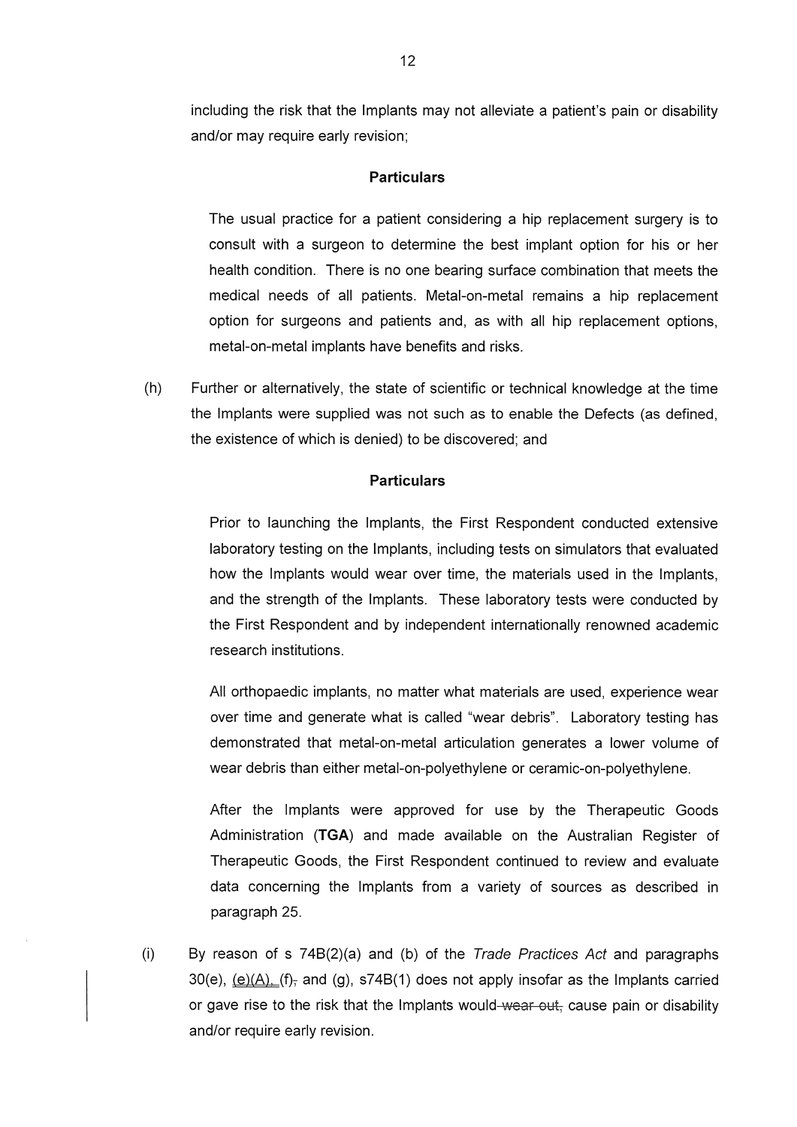including the risk that the Implants may not alleviate a patient's pain or disability and/or may require early revision;

#### **Particulars**

The usual practice for a patient considering a hip replacement surgery is to consult with a surgeon to determine the best implant option for his or her health condition. There is no one bearing surface combination that meets the medical needs of all patients. Metal-on-metal remains a hip replacement option for surgeons and patients and, as with all hip replacement options, metal-on-metal implants have benefits and risks.

 $(h)$ Further or alternatively, the state of scientific or technical knowledge at the time the Implants were supplied was not such as to enable the Defects (as defined, the existence of which is denied) to be discovered; and

#### **Particulars**

Prior to launching the Implants, the First Respondent conducted extensive laboratory testing on the Implants, including tests on simulators that evaluated how the Implants would wear over time, the materials used in the Implants, and the strength of the Implants. These laboratory tests were conducted by the First Respondent and by independent internationally renowned academic research institutions.

All orthopaedic implants, no matter what materials are used, experience wear over time and generate what is called "wear debris". Laboratory testing has demonstrated that metal-on-metal articulation generates a lower volume of wear debris than either metal-on-polyethylene or ceramic-on-polyethylene.

After the Implants were approved for use by the Therapeutic Goods Administration (TGA) and made available on the Australian Register of Therapeutic Goods, the First Respondent continued to review and evaluate data concerning the Implants from a variety of sources as described in paragraph 25.

 $(i)$ By reason of s 74B(2)(a) and (b) of the Trade Practices Act and paragraphs 30(e),  $(e)(A)$ ,  $(f)$ , and (g), s74B(1) does not apply insofar as the Implants carried or gave rise to the risk that the Implants would-wear out, cause pain or disability and/or require early revision.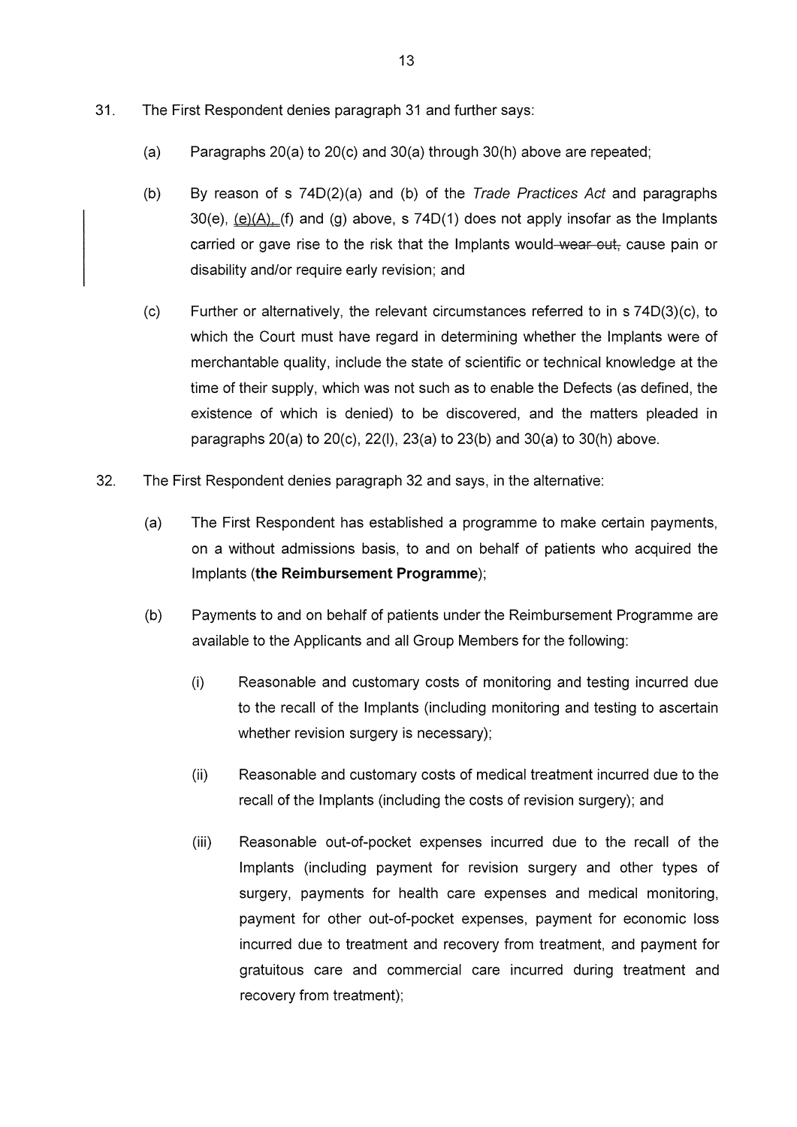- $31.$ The First Respondent denies paragraph 31 and further says:
	- $(a)$ Paragraphs 20(a) to 20(c) and 30(a) through 30(h) above are repeated;
	- By reason of s 74D(2)(a) and (b) of the Trade Practices Act and paragraphs  $(b)$  $30(e)$ ,  $(e)(A)$ , (f) and (g) above, s  $74D(1)$  does not apply insofar as the Implants carried or gave rise to the risk that the Implants would-wear out, cause pain or disability and/or require early revision; and
	- $(c)$ Further or alternatively, the relevant circumstances referred to in s 74D(3)(c), to which the Court must have regard in determining whether the Implants were of merchantable quality, include the state of scientific or technical knowledge at the time of their supply, which was not such as to enable the Defects (as defined, the existence of which is denied) to be discovered, and the matters pleaded in paragraphs 20(a) to 20(c), 22(l), 23(a) to 23(b) and 30(a) to 30(h) above.
- 32. The First Respondent denies paragraph 32 and says, in the alternative:
	- $(a)$ The First Respondent has established a programme to make certain payments, on a without admissions basis, to and on behalf of patients who acquired the Implants (the Reimbursement Programme);
	- $(b)$ Payments to and on behalf of patients under the Reimbursement Programme are available to the Applicants and all Group Members for the following:
		- $(i)$ Reasonable and customary costs of monitoring and testing incurred due to the recall of the Implants (including monitoring and testing to ascertain whether revision surgery is necessary);
		- Reasonable and customary costs of medical treatment incurred due to the  $(ii)$ recall of the Implants (including the costs of revision surgery); and
		- $(iii)$ Reasonable out-of-pocket expenses incurred due to the recall of the Implants (including payment for revision surgery and other types of surgery, payments for health care expenses and medical monitoring, payment for other out-of-pocket expenses, payment for economic loss incurred due to treatment and recovery from treatment, and payment for gratuitous care and commercial care incurred during treatment and recovery from treatment);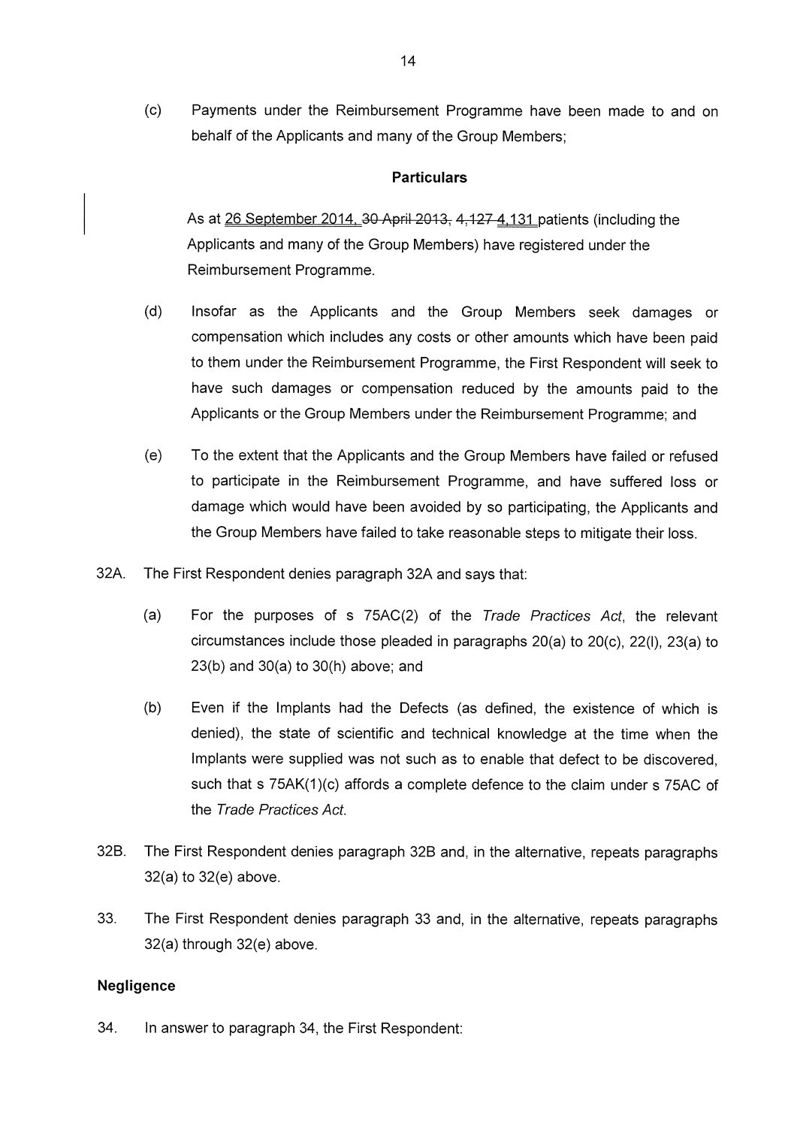$(c)$ Payments under the Reimbursement Programme have been made to and on behalf of the Applicants and many of the Group Members;

### **Particulars**

As at 26 September 2014, 30 April 2013, 4, 127 4, 131 patients (including the Applicants and many of the Group Members) have registered under the Reimbursement Programme.

- $(d)$ Insofar as the Applicants and the Group Members seek damages or compensation which includes any costs or other amounts which have been paid to them under the Reimbursement Programme, the First Respondent will seek to have such damages or compensation reduced by the amounts paid to the Applicants or the Group Members under the Reimbursement Programme; and
- $(e)$ To the extent that the Applicants and the Group Members have failed or refused to participate in the Reimbursement Programme, and have suffered loss or damage which would have been avoided by so participating, the Applicants and the Group Members have failed to take reasonable steps to mitigate their loss.
- 32A. The First Respondent denies paragraph 32A and says that:
	- $(a)$ For the purposes of s 75AC(2) of the Trade Practices Act, the relevant circumstances include those pleaded in paragraphs  $20(a)$  to  $20(c)$ ,  $22(l)$ ,  $23(a)$  to  $23(b)$  and  $30(a)$  to  $30(h)$  above; and
	- $(b)$ Even if the Implants had the Defects (as defined, the existence of which is denied), the state of scientific and technical knowledge at the time when the Implants were supplied was not such as to enable that defect to be discovered. such that s 75AK(1)(c) affords a complete defence to the claim under s 75AC of the Trade Practices Act.
- 32B. The First Respondent denies paragraph 32B and, in the alternative, repeats paragraphs 32(a) to 32(e) above.
- 33. The First Respondent denies paragraph 33 and, in the alternative, repeats paragraphs 32(a) through 32(e) above.

### Negligence

34. In answer to paragraph 34, the First Respondent: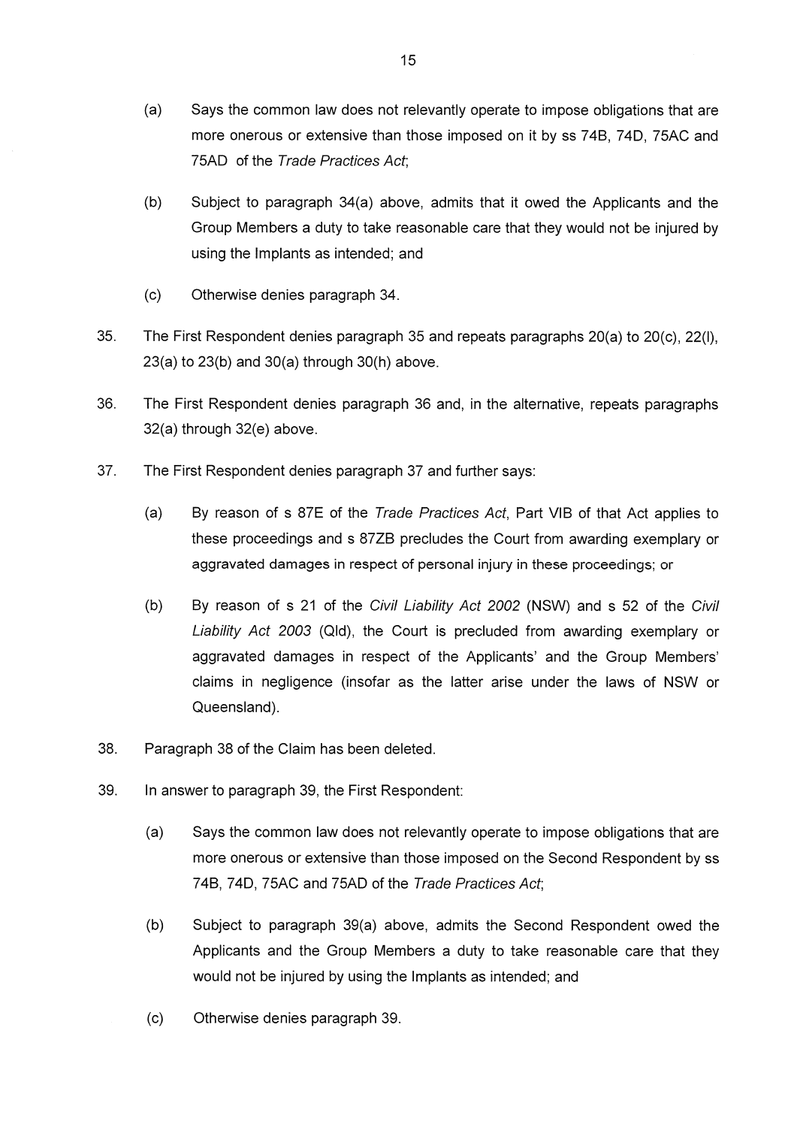- $(a)$ Says the common law does not relevantly operate to impose obligations that are more onerous or extensive than those imposed on it by ss 74B, 74D, 75AC and 75AD of the Trade Practices Act:
- $(b)$ Subject to paragraph 34(a) above, admits that it owed the Applicants and the Group Members a duty to take reasonable care that they would not be injured by using the Implants as intended; and
- $(c)$ Otherwise denies paragraph 34.
- 35. The First Respondent denies paragraph 35 and repeats paragraphs 20(a) to 20(c), 22(l),  $23(a)$  to  $23(b)$  and  $30(a)$  through  $30(h)$  above.
- 36. The First Respondent denies paragraph 36 and, in the alternative, repeats paragraphs 32(a) through 32(e) above.
- 37. The First Respondent denies paragraph 37 and further says:
	- $(a)$ By reason of s 87E of the Trade Practices Act, Part VIB of that Act applies to these proceedings and s 87ZB precludes the Court from awarding exemplary or aggravated damages in respect of personal injury in these proceedings; or
	- $(b)$ By reason of s 21 of the Civil Liability Act 2002 (NSW) and s 52 of the Civil Liability Act 2003 (Qld), the Court is precluded from awarding exemplary or aggravated damages in respect of the Applicants' and the Group Members' claims in negligence (insofar as the latter arise under the laws of NSW or Queensland).
- 38. Paragraph 38 of the Claim has been deleted.
- 39. In answer to paragraph 39, the First Respondent:
	- $(a)$ Says the common law does not relevantly operate to impose obligations that are more onerous or extensive than those imposed on the Second Respondent by ss 74B, 74D, 75AC and 75AD of the Trade Practices Act;
	- $(b)$ Subject to paragraph 39(a) above, admits the Second Respondent owed the Applicants and the Group Members a duty to take reasonable care that they would not be injured by using the Implants as intended; and
	- $(c)$ Otherwise denies paragraph 39.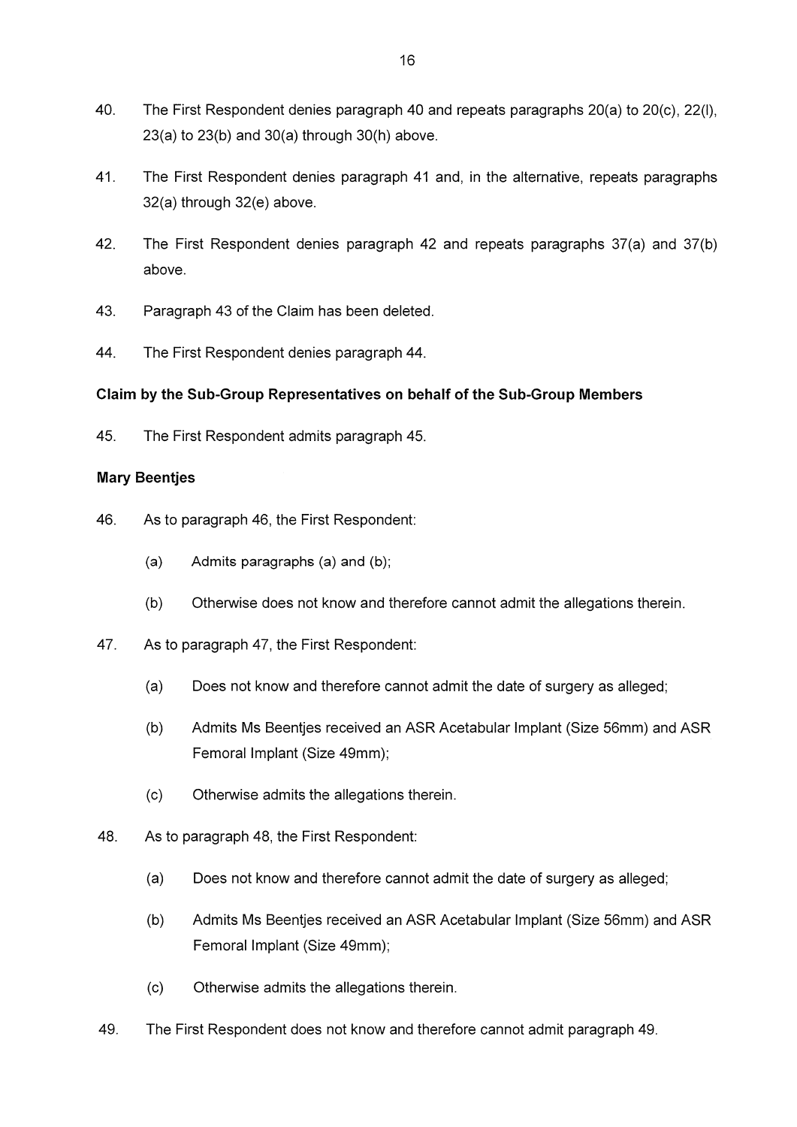- 40. The First Respondent denies paragraph 40 and repeats paragraphs 20(a) to 20(c), 22(l),  $23(a)$  to  $23(b)$  and  $30(a)$  through  $30(h)$  above.
- 41. The First Respondent denies paragraph 41 and, in the alternative, repeats paragraphs 32(a) through 32(e) above.
- 42. The First Respondent denies paragraph 42 and repeats paragraphs 37(a) and 37(b) above.
- 43. Paragraph 43 of the Claim has been deleted.
- 44. The First Respondent denies paragraph 44.

### Claim by the Sub-Group Representatives on behalf of the Sub-Group Members

45. The First Respondent admits paragraph 45.

#### **Mary Beenties**

- 46. As to paragraph 46, the First Respondent:
	- $(a)$ Admits paragraphs (a) and (b);
	- $(b)$ Otherwise does not know and therefore cannot admit the allegations therein.
- 47. As to paragraph 47, the First Respondent:
	- Does not know and therefore cannot admit the date of surgery as alleged;  $(a)$
	- $(b)$ Admits Ms Beentjes received an ASR Acetabular Implant (Size 56mm) and ASR Femoral Implant (Size 49mm);
	- $(c)$ Otherwise admits the allegations therein.
- 48. As to paragraph 48, the First Respondent:
	- $(a)$ Does not know and therefore cannot admit the date of surgery as alleged;
	- $(b)$ Admits Ms Beentjes received an ASR Acetabular Implant (Size 56mm) and ASR Femoral Implant (Size 49mm);
	- $(c)$ Otherwise admits the allegations therein.
- 49. The First Respondent does not know and therefore cannot admit paragraph 49.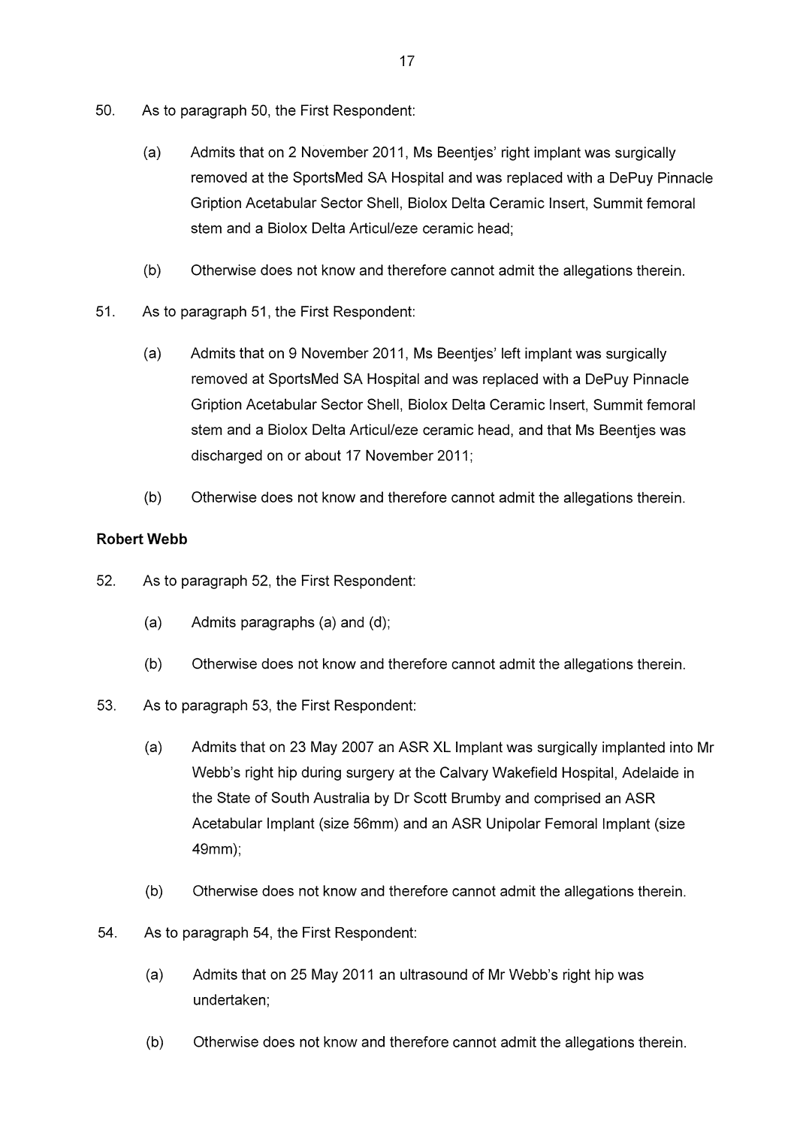- 50. As to paragraph 50, the First Respondent:
	- $(a)$ Admits that on 2 November 2011, Ms Beentjes' right implant was surgically removed at the SportsMed SA Hospital and was replaced with a DePuy Pinnacle Gription Acetabular Sector Shell, Biolox Delta Ceramic Insert, Summit femoral stem and a Biolox Delta Articul/eze ceramic head:
	- $(b)$ Otherwise does not know and therefore cannot admit the allegations therein.
- 51. As to paragraph 51, the First Respondent:
	- $(a)$ Admits that on 9 November 2011, Ms Beentjes' left implant was surgically removed at SportsMed SA Hospital and was replaced with a DePuy Pinnacle Gription Acetabular Sector Shell, Biolox Delta Ceramic Insert, Summit femoral stem and a Biolox Delta Articul/eze ceramic head, and that Ms Beentjes was discharged on or about 17 November 2011;
	- $(b)$ Otherwise does not know and therefore cannot admit the allegations therein.

### **Robert Webb**

- 52. As to paragraph 52, the First Respondent:
	- $(a)$ Admits paragraphs  $(a)$  and  $(d)$ ;
	- $(b)$ Otherwise does not know and therefore cannot admit the allegations therein.
- 53. As to paragraph 53, the First Respondent:
	- $(a)$ Admits that on 23 May 2007 an ASR XL Implant was surgically implanted into Mr Webb's right hip during surgery at the Calvary Wakefield Hospital, Adelaide in the State of South Australia by Dr Scott Brumby and comprised an ASR Acetabular Implant (size 56mm) and an ASR Unipolar Femoral Implant (size 49mm):
	- $(b)$ Otherwise does not know and therefore cannot admit the allegations therein.
- 54. As to paragraph 54, the First Respondent:
	- $(a)$ Admits that on 25 May 2011 an ultrasound of Mr Webb's right hip was undertaken:
	- $(b)$ Otherwise does not know and therefore cannot admit the allegations therein.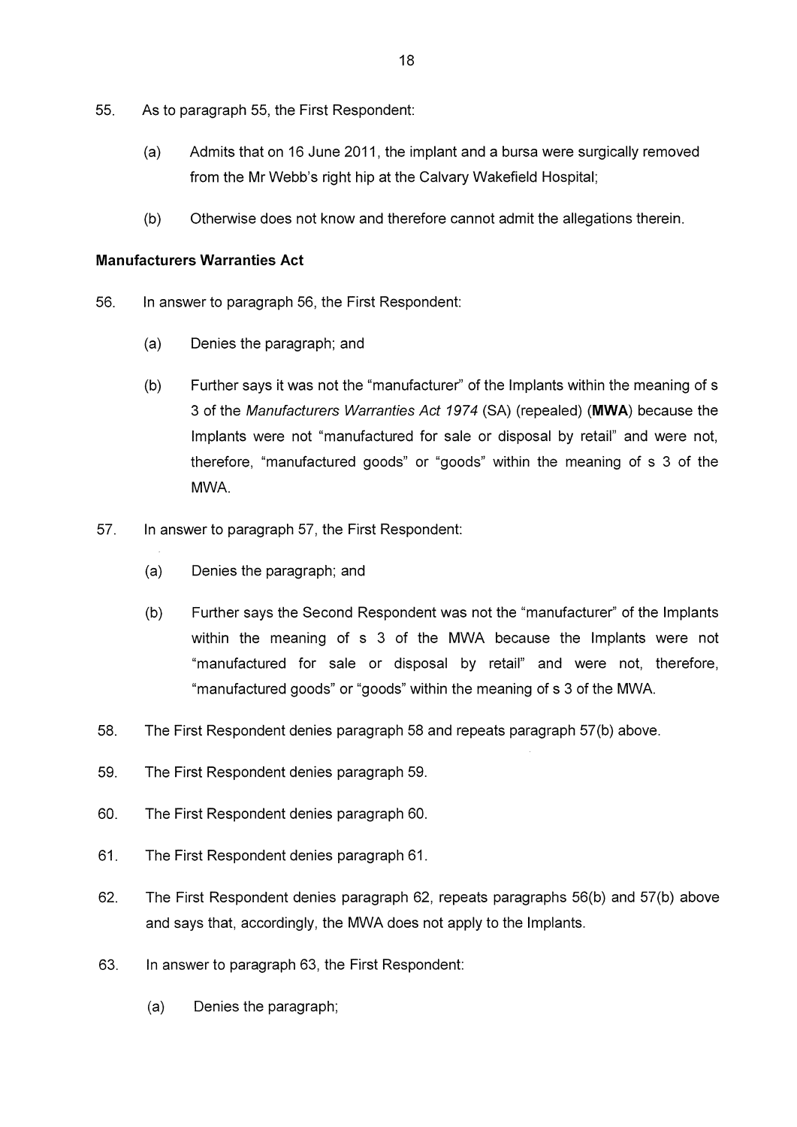- 55. As to paragraph 55, the First Respondent:
	- $(a)$ Admits that on 16 June 2011, the implant and a bursa were surgically removed from the Mr Webb's right hip at the Calvary Wakefield Hospital;
	- $(b)$ Otherwise does not know and therefore cannot admit the allegations therein.

#### **Manufacturers Warranties Act**

- 56. In answer to paragraph 56, the First Respondent:
	- $(a)$ Denies the paragraph; and
	- Further says it was not the "manufacturer" of the Implants within the meaning of s  $(b)$ 3 of the Manufacturers Warranties Act 1974 (SA) (repealed) (MWA) because the Implants were not "manufactured for sale or disposal by retail" and were not, therefore, "manufactured goods" or "goods" within the meaning of s 3 of the MWA.
- 57. In answer to paragraph 57, the First Respondent:
	- $(a)$ Denies the paragraph; and
	- $(b)$ Further says the Second Respondent was not the "manufacturer" of the Implants within the meaning of s 3 of the MWA because the Implants were not "manufactured for sale or disposal by retail" and were not, therefore, "manufactured goods" or "goods" within the meaning of s 3 of the MWA.
- 58. The First Respondent denies paragraph 58 and repeats paragraph 57(b) above.
- 59. The First Respondent denies paragraph 59.
- 60. The First Respondent denies paragraph 60.
- 61. The First Respondent denies paragraph 61.
- 62. The First Respondent denies paragraph 62, repeats paragraphs 56(b) and 57(b) above and says that, accordingly, the MWA does not apply to the Implants.
- 63. In answer to paragraph 63, the First Respondent:
	- $(a)$ Denies the paragraph;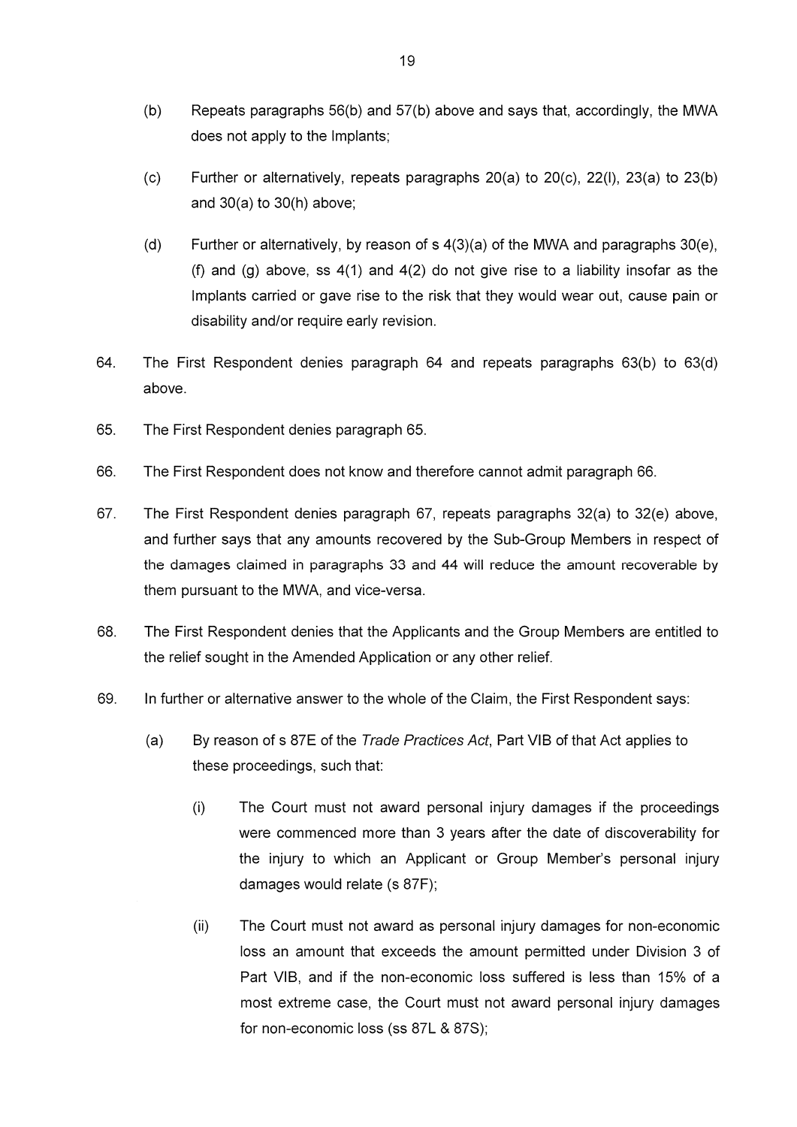- $(b)$ Repeats paragraphs 56(b) and 57(b) above and says that, accordingly, the MWA does not apply to the Implants;
- Further or alternatively, repeats paragraphs 20(a) to 20(c), 22(l), 23(a) to 23(b)  $(c)$ and  $30(a)$  to  $30(h)$  above;
- $(d)$ Further or alternatively, by reason of  $s$  4(3)(a) of the MWA and paragraphs 30(e), (f) and (g) above, ss  $4(1)$  and  $4(2)$  do not give rise to a liability insofar as the Implants carried or gave rise to the risk that they would wear out, cause pain or disability and/or require early revision.
- 64. The First Respondent denies paragraph 64 and repeats paragraphs 63(b) to 63(d) above.
- 65. The First Respondent denies paragraph 65.
- 66. The First Respondent does not know and therefore cannot admit paragraph 66.
- 67. The First Respondent denies paragraph 67, repeats paragraphs 32(a) to 32(e) above, and further says that any amounts recovered by the Sub-Group Members in respect of the damages claimed in paragraphs 33 and 44 will reduce the amount recoverable by them pursuant to the MWA, and vice-versa.
- 68. The First Respondent denies that the Applicants and the Group Members are entitled to the relief sought in the Amended Application or any other relief.
- 69. In further or alternative answer to the whole of the Claim, the First Respondent says:
	- $(a)$ By reason of s 87E of the Trade Practices Act, Part VIB of that Act applies to these proceedings, such that:
		- $(i)$ The Court must not award personal injury damages if the proceedings were commenced more than 3 years after the date of discoverability for the injury to which an Applicant or Group Member's personal injury damages would relate (s 87F);
		- The Court must not award as personal injury damages for non-economic  $(ii)$ loss an amount that exceeds the amount permitted under Division 3 of Part VIB, and if the non-economic loss suffered is less than 15% of a most extreme case, the Court must not award personal injury damages for non-economic loss (ss 87L & 87S);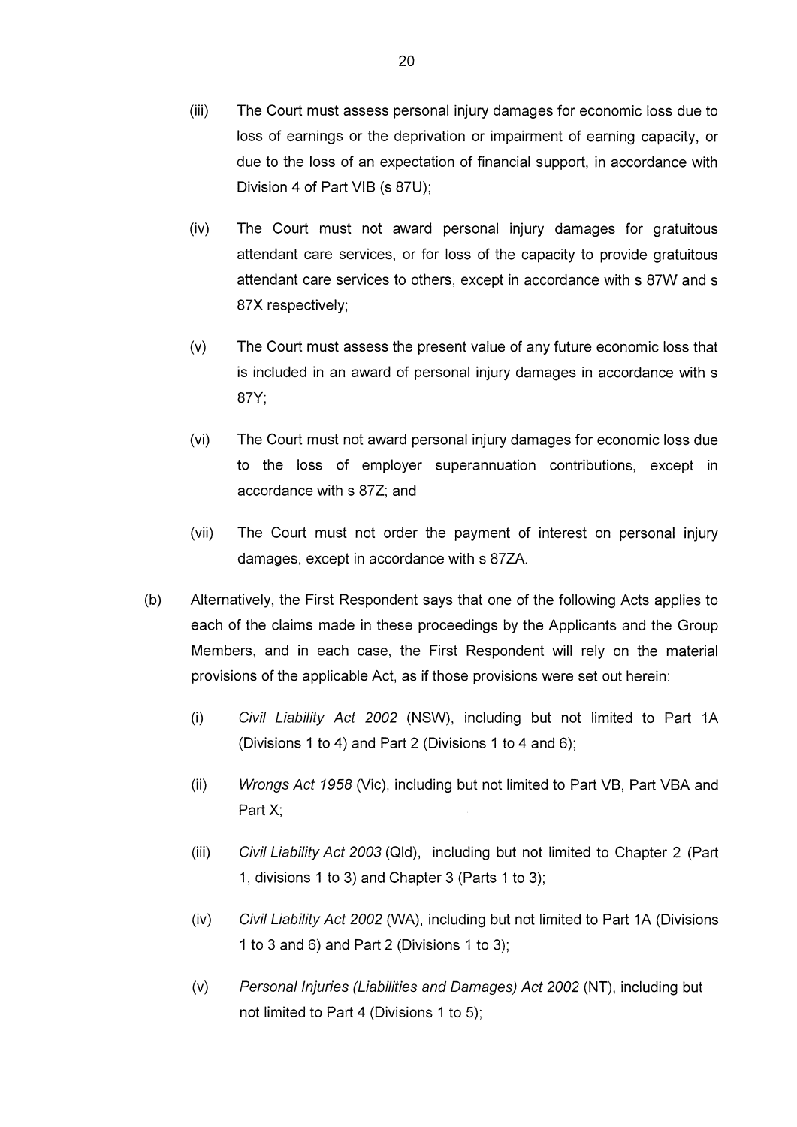- $(iii)$ The Court must assess personal injury damages for economic loss due to loss of earnings or the deprivation or impairment of earning capacity, or due to the loss of an expectation of financial support, in accordance with Division 4 of Part VIB (s 87U):
- $(iv)$ The Court must not award personal injury damages for gratuitous attendant care services, or for loss of the capacity to provide gratuitous attendant care services to others, except in accordance with s 87W and s 87X respectively;
- $(v)$ The Court must assess the present value of any future economic loss that is included in an award of personal injury damages in accordance with s 87Y:
- $(vi)$ The Court must not award personal injury damages for economic loss due to the loss of employer superannuation contributions, except in accordance with s 87Z; and
- $(vii)$ The Court must not order the payment of interest on personal injury damages, except in accordance with s 87ZA.
- $(b)$ Alternatively, the First Respondent says that one of the following Acts applies to each of the claims made in these proceedings by the Applicants and the Group Members, and in each case, the First Respondent will rely on the material provisions of the applicable Act, as if those provisions were set out herein:
	- $(i)$ Civil Liability Act 2002 (NSW), including but not limited to Part 1A (Divisions 1 to 4) and Part 2 (Divisions 1 to 4 and 6);
	- $(ii)$ Wrongs Act 1958 (Vic), including but not limited to Part VB, Part VBA and Part  $X$ ;
	- $(iii)$ Civil Liability Act 2003 (Qld), including but not limited to Chapter 2 (Part 1, divisions 1 to 3) and Chapter 3 (Parts 1 to 3);
	- $(iv)$ Civil Liability Act 2002 (WA), including but not limited to Part 1A (Divisions 1 to 3 and 6) and Part 2 (Divisions 1 to 3);
	- $(v)$ Personal Injuries (Liabilities and Damages) Act 2002 (NT), including but not limited to Part 4 (Divisions 1 to 5);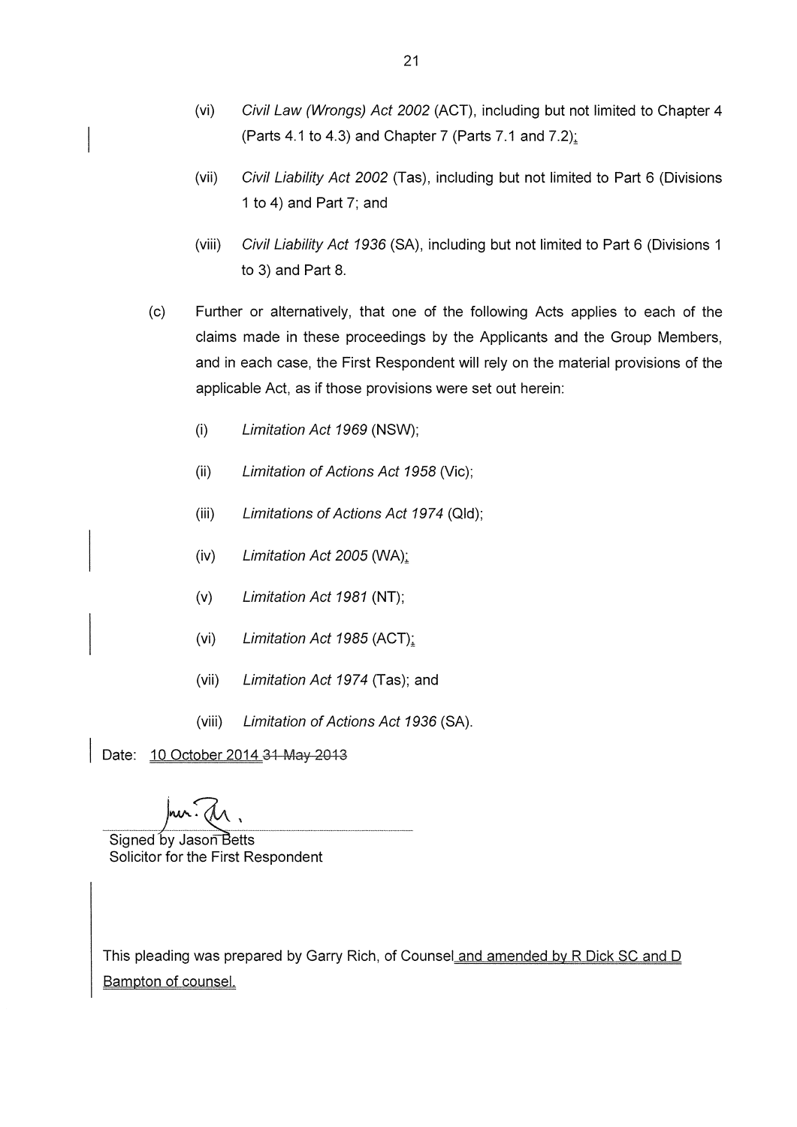- Civil Law (Wrongs) Act 2002 (ACT), including but not limited to Chapter 4  $(vi)$ (Parts 4.1 to 4.3) and Chapter 7 (Parts 7.1 and 7.2);
- $(vii)$ Civil Liability Act 2002 (Tas), including but not limited to Part 6 (Divisions 1 to 4) and Part 7; and
- $(viii)$ Civil Liability Act 1936 (SA), including but not limited to Part 6 (Divisions 1 to 3) and Part 8.
- Further or alternatively, that one of the following Acts applies to each of the  $(c)$ claims made in these proceedings by the Applicants and the Group Members, and in each case, the First Respondent will rely on the material provisions of the applicable Act, as if those provisions were set out herein:
	- $(i)$ Limitation Act 1969 (NSW);
	- $(ii)$ Limitation of Actions Act 1958 (Vic);
	- $(iii)$ Limitations of Actions Act 1974 (Qld);
	- $(iv)$ Limitation Act 2005 (WA);
	- $(v)$ Limitation Act 1981 (NT);
	- $(vi)$ Limitation Act 1985 (ACT);
	- $(vii)$ Limitation Act 1974 (Tas); and
	- $(viii)$ Limitation of Actions Act 1936 (SA).

Date: 10 October 2014 31 May 2013

Signed by Jason Betts Solicitor for the First Respondent

This pleading was prepared by Garry Rich, of Counsel and amended by R Dick SC and D Bampton of counsel.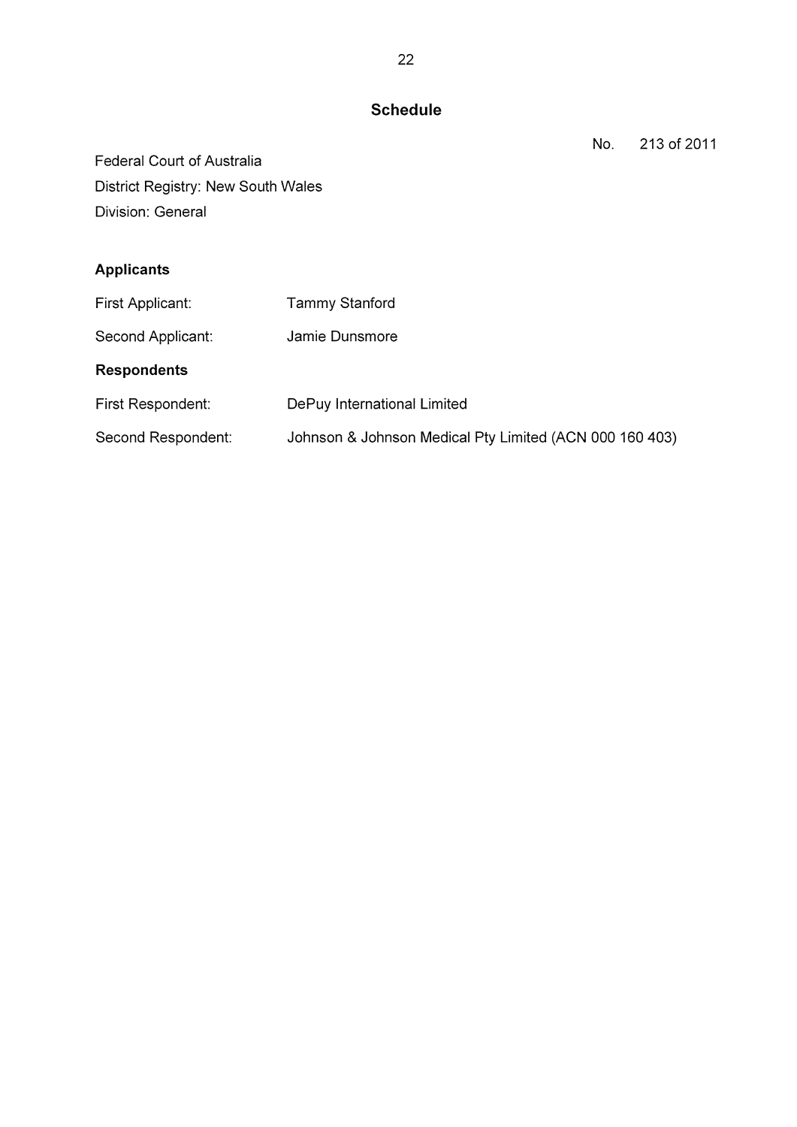# **Schedule**

213 of 2011 No.

Federal Court of Australia District Registry: New South Wales Division: General

# **Applicants**

| First Applicant:   | <b>Tammy Stanford</b>                                   |
|--------------------|---------------------------------------------------------|
| Second Applicant:  | Jamie Dunsmore                                          |
| <b>Respondents</b> |                                                         |
| First Respondent:  | DePuy International Limited                             |
| Second Respondent: | Johnson & Johnson Medical Pty Limited (ACN 000 160 403) |